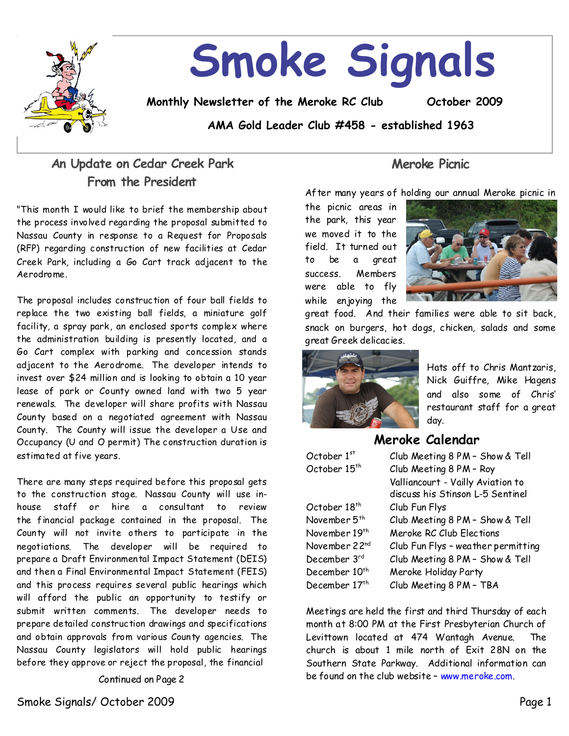

# **Smoke Signals**

**Monthly Newsletter of the Meroke RC Club October 2009**

**AMA Gold Leader Club #458 - established 1963**

# **An Update on Cedar Creek Park From the President**

"This month I would like to brief the membership about the process involved regarding the proposal submitted to Nassau County in response to a Request for Proposals (RFP) regarding construction of new facilities at Cedar Creek Park, including a Go Cart track adjacent to the Aerodrome.

The proposal includes construction of four ball fields to replace the two existing ball fields, a miniature golf facility, a spray park, an enclosed sports complex where the administration building is presently located, and a Go Cart complex with parking and concession stands adjacent to the Aerodrome. The developer intends to invest over \$24 million and is looking to obtain a 10 year lease of park or County owned land with two 5 year renewals. The developer will share profits with Nassau County based on a negotiated agreement with Nassau County. The County will issue the developer a Use and Occupancy (U and O permit) The construction duration is estimated at five years.

There are many steps required before this proposal gets to the construction stage. Nassau County will use inhouse staff or hire a consultant to review the financial package contained in the proposal. The County will not invite others to participate in the negotiations. The developer will be required to prepare a Draft Environmental Impact Statement (DEIS) and then a Final Environmental Impact Statement (FEIS) and this process requires several public hearings which will afford the public an opportunity to testify or submit written comments. The developer needs to prepare detailed construction drawings and specifications and obtain approvals from various County agencies. The Nassau County legislators will hold public hearings before they approve or reject the proposal, the financial

Continued on Page 2

**Meroke Picnic**

After many years of holding our annual Meroke picnic in

the picnic areas in the park, this year we moved it to the field. It turned out to be a great success. Members were able to fly while enjoying the



great food. And their families were able to sit back, snack on burgers, hot dogs, chicken, salads and some great Greek delicacies.



Hats off to Chris Mantzaris, Nick Guiffre, Mike Hagens and also some of Chris' restaurant staff for a great day.

# **Meroke Calendar**

| October $1st$             | Club Meeting 8 PM - Show & Tell    |
|---------------------------|------------------------------------|
| October 15 <sup>th</sup>  | Club Meeting 8 PM - Roy            |
|                           | Valliancourt - Vailly Aviation to  |
|                           | discuss his Stinson L-5 Sentinel   |
| October 18 <sup>th</sup>  | Club Fun Flys                      |
| November 5 <sup>th</sup>  | Club Meeting 8 PM - Show & Tell    |
| November 19 <sup>th</sup> | Meroke RC Club Elections           |
| November 22nd             | Club Fun Flys - weather permitting |
| December 3rd              | Club Meeting 8 PM - Show & Tell    |
| December 10 <sup>th</sup> | Meroke Holiday Party               |
| December 17th             | Club Meeting 8 PM - TBA            |

Meetings are held the first and third Thursday of each month at 8:00 PM at the First Presbyterian Church of Levittown located at 474 Wantagh Avenue. The church is about 1 mile north of Exit28N on the Southern State Parkway. Additional information can be found on the club website - www.meroke.com.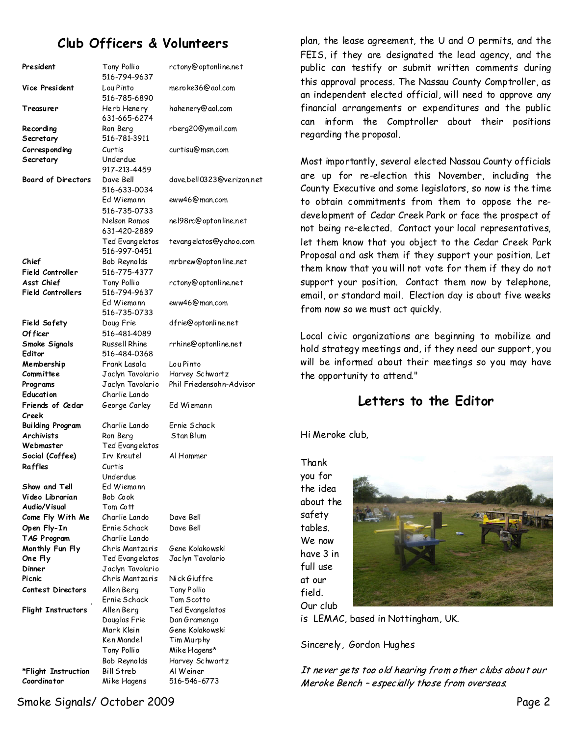# **Club Officers & Volunteers**

| President                              | Tony Pollio<br>516-794-9637     | rctony@optonline.net      |
|----------------------------------------|---------------------------------|---------------------------|
| Vice President                         | Lou Pinto<br>516-785-6890       | mero ke36@aol.com         |
| Treasurer                              | Herb Henery<br>631-665-6274     | hahenery@aol.com          |
| Recording                              | Ron Berg                        | rberg20@ymail.com         |
| Secretary                              | 516-781-3911                    |                           |
| Corresponding                          | Curtis                          | curtisu@msn.com           |
| Secretary                              | Underdue<br>917-213-4459        |                           |
| <b>Board of Directors</b>              | Dave Bell<br>516-633-0034       | dave.bell0323@verizon.net |
|                                        | Ed Wiemann<br>516-735-0733      | eww46@man.com             |
|                                        | Nelson Ramos<br>631-420-2889    | nel98rc@optonline.net     |
|                                        | Ted Evangelatos<br>516-997-0451 | tevangelatos@yahoo.com    |
| Chief                                  | Bob Reynolds                    | mrbrew@optonline.net      |
| Field Controller                       | 516-775-4377                    |                           |
| Asst Chief<br><b>Field Controllers</b> | Tony Pollio<br>516-794-9637     | rctony@optonline.net      |
|                                        | Ed Wiemann<br>516-735-0733      | eww46@man.com             |
| Field Safety                           | Doug Frie                       | dfrie@optonline.net       |
| Of ficer                               | 516-481-4089                    |                           |
| Smoke Signals<br>Editor                | Russell Rhine<br>516-484-0368   | rrhine@optonline.net      |
| Membership                             | Frank Lasala                    | Lou Pinto                 |
| Committee                              | Jaclyn Tavolario                | Harvey Schwartz           |
| Programs                               | Jaclyn Tavolario                | Phil Friedensohn-Advisor  |
| Education                              | Charlie Lando                   |                           |
| Friends of Cedar<br>Creek              | George Carley                   | Ed Wiemann                |
| Building Program                       | Charlie Lando                   | Ernie Schack              |
| Archivists                             | Ron Berg                        | Stan Blum                 |
| Webmaster                              | Ted Evangelatos                 |                           |
| Social (Coffee)                        | Irv Kreutel                     | Al Hammer                 |
| Raffles                                | Curtis<br>Underdue              |                           |
| Show and Tell                          | Ed Wiemann                      |                           |
| Video Librarian                        | Bob Cook                        |                           |
| Audio/Visual                           | Tom Cott                        |                           |
| Come Fly With Me                       | Charlie Lando                   | Dave Bell                 |
| Open Fly-In                            | Ernie Schack                    | Dave Bell                 |
| TAG Program                            | Charlie Lando                   |                           |
| Monthly Fun Fly                        | Chris Mantzaris                 | Gene Kolakowski           |
| One Fly                                | Ted Evangelatos                 | Jac lyn Tavolario         |
| Dinner                                 | Jaclyn Tavolario                |                           |
| Picnic                                 | Chris Mantzaris                 | Nick Giuffre              |
| Contest Directors                      | Allen Berg                      | Tony Pollio               |
|                                        | Ernie Schack                    | Tom Scotto                |
| Flight Instructors                     | Allen Berg                      | Ted Evangelatos           |
|                                        | Douglas Frie                    | Dan Gramenga              |
|                                        | Mark Klein                      | Gene Kolakowski           |
|                                        | Ken Mandel                      | Tim Murphy                |
|                                        | Tony Pollio                     | Mike Hagens*              |
|                                        | Bob Reynolds                    | Harvey Schwartz           |
| *Flight Instruction                    | Bill Streb                      | Al Weiner                 |
| Coordinator                            | Mike Hagens                     | 516-546-6773              |

plan, the lease agreement, the U and O permits, and the FEIS, if they are designated the lead agency, and the public can testify or submit written comments during this approval process. The Nassau County Comptroller, as an independent elected official, will need to approve any financial arrangements or expenditures and the public can inform the Comptroller about their positions regarding the proposal.

Most importantly, several elected Nassau County officials are up for re-election this November, including the County Executive and somelegislators, so now is the time to obtain commitments from them to oppose the redevelopment of Cedar Creek Park or face the prospect of not being re-elected. Contact your local representatives, let them know that you object to the Cedar Creek Park Proposal and ask them if they support your position. Let them know that you will not vote for them if they do not support your position. Contact them now by telephone, email, or standard mail. Election day is about five weeks from now so we must act quickly.

Local civic organizations are beginning to mobilize and hold strategymeetings and, if they need our support, you will be informed about their meetings so you may have the opportunity to attend."

## **Letters to the Editor**

Hi Meroke club,

Thank you for the idea about the safety tables. We now have 3 in full use at our field. Our club



is LEMAC, based in Nottingham, UK.

Sincerely, Gordon Hughes

It never gets too old hearing from other clubs about our Meroke Bench - especially those from overseas.

Smoke Signals/ October 2009 Page 2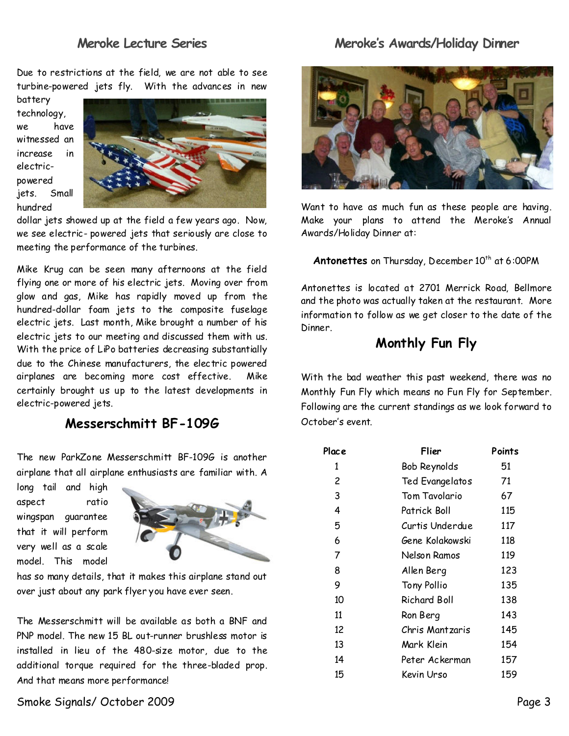## **Meroke Lecture Series**

Due to restrictions at the field, we are not able to see turbine-powered jets fly. With the advances in new

battery technology, we have witnessed an increase in electric powered jets. Small hundred



dollar jets showed up at the field a few years ago. Now, we see electric-powered jets that seriously are close to meeting the performance of the turbines.

Mike Krug can be seen many afternoons at the field flying one or more of his electric jets. Moving over from glow and gas, Mike has rapidly moved up from the hundred-dollar foam jets to the composite fuselage electric jets. Last month, Mike brought a number of his electric jets to our meeting and discussed them with us. With the price of LiPo batteries decreasing substantially due to the Chinese manufacturers, the electric powered airplanes are becoming more cost effective. Mike certainly brought us up to the latest developments in electric-powered jets.

## **Messerschmitt BF-109G**

The new ParkZone Messerschmitt BF-1096 is another airplane that all airplane enthusiasts are familiar with.A

long tail and high aspect ratio wingspan guarantee that it will perform very well as a scale model. This model



has so many details, that it makes this airplane stand out over just about any park flyer you have ever seen.

The Messerschmitt will be available as both a BNF and PNP model. The new 15 BL out-runner brushless motor is installed in lieu of the 480-size motor, due to the additional torque required for the three-bladed prop. And that means more performance!

# Meroke's Awards/Holiday Dinner



Want to have as much fun as these people are having. Make your plans to attend the Meroke's Annual Awards/Holiday Dinner at:

Antonettes on Thursday, December 10<sup>th</sup> at 6:00PM

Antonettes is located at 2701 Merrick Road, Bellmore and the photo was actually taken at the restaurant. More information to follow as we get closer to the date of the Dinner.

# **Monthly Fun Fly**

With the bad weather this past weekend, there was no Monthly Fun Fly which means no Fun Fly for September. Following are the current standings as we look forward to October's event.

| Place | Flier           | Points |
|-------|-----------------|--------|
| 1     | Bob Reynolds    | 51     |
| 2     | Ted Evangelatos | 71     |
| 3     | Tom Tavolario   | 67     |
| 4     | Patrick Boll    | 115    |
| 5     | Curtis Underdue | 117    |
| 6     | Gene Kolakowski | 118    |
| 7     | Nelson Ramos    | 119    |
| 8     | Allen Berg      | 123    |
| 9     | Tony Pollio     | 135    |
| 10    | Richard Boll    | 138    |
| 11    | Ron Berg        | 143    |
| 12    | Chris Mantzaris | 145    |
| 13    | Mark Klein      | 154    |
| 14    | Peter Ackerman  | 157    |
| 15    | Kevin Urso      | 159    |

Smoke Signals/ October 2009 Page 3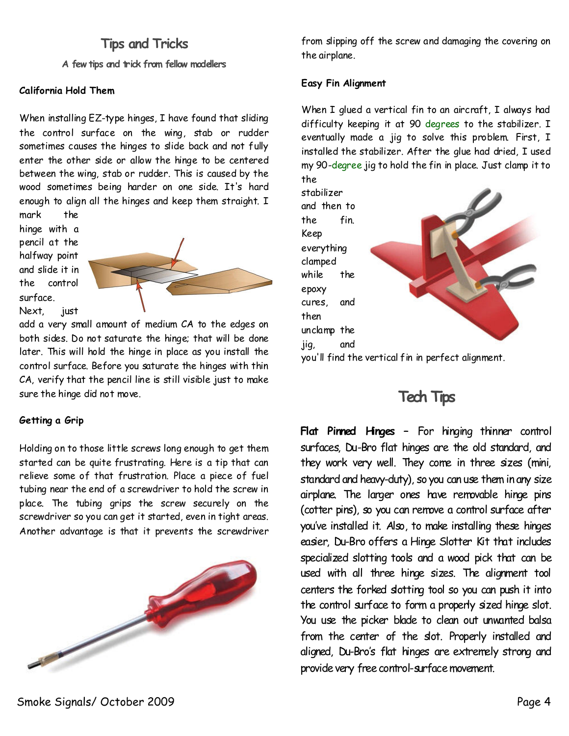# **Tips and Tricks**

**A few tips and trick from fellow modellers**

## **California Hold Them**

When installing EZ-type hinges, I have found that sliding the control surface on the wing, stab or rudder sometimes causes the hinges to slide back and not fully enter the other side or allow the hinge to be centered between the wing, stab or rudder. This is caused by the wood sometimes being harder on one side. It's hard enough to align all the hinges and keep them straight. I mark the

hinge with a pencil at the halfway point and slide it in the control surface. Next, just



add a very small amount of medium CA to the edges on both sides. Do not saturate the hinge; that will be done later. This will hold the hinge in place as you install the control surface. Before you saturate the hinges with thin CA, verify that the pencil line is still visible just to make sure the hinge did not move.

## **Getting a Grip**

Holding on to those little screws long enough to get them started can be quite frustrating. Here is a tip that can relieve some of that frustration. Place a piece of fuel tubing near the end of a screwdriver to hold the screw in place. The tubing grips the screw securely on the screwdriver so you can get it started, even in tight areas. Another advantage is that it prevents the screwdriver



from slipping off the screw and damaging the covering on the airplane.

## **Easy Fin Alignment**

When I glued a vertical fin to an aircraft, I always had difficulty keeping it at 90 degrees to the stabilizer. I eventually made a jig to solve this problem. First, I installed the stabilizer. After the glue had dried, I used my 90-degree jig to hold the fin in place. Just clamp it to the

stabilizer and then to the fin. Keep everything clamped while the epoxy cures, and then unclamp the jig, and you'll find the vertical fin in perfect alignment.

# **Tech Tips**

**Flat Pinned Hinges –** For hinging thinner control surfaces, Du-Bro flat hinges are the old standard, and they work very well. They come in three sizes (mini, standard and heavy-duty), so you can use them in any size airplane. The larger ones have removable hinge pins (cotter pins), so you can remove a control surface after you've installed it. Also, to make installing these hinges easier, Du-Bro offers a Hinge Slotter Kit that includes specialized slotting tools and a wood pick that can be used with all three hinge sizes. The alignment tool centers the forked slotting tool so you can push it into the control surface to form a properly sized hinge slot. You use the picker blade to clean out unwanted balsa from the center of the slot. Properly installed and aligned, Du-Bro's flat hinges are extremely strong and provide very free control-surface movement.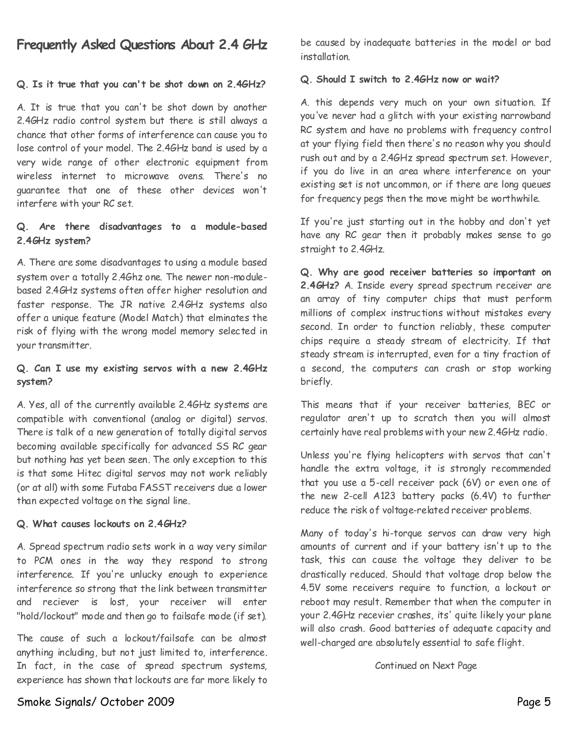# **Frequently Asked Questions About 2.4 GHz**

## **Q. Is it true that you can't be shot down on 2.4GHz?**

A. It is true that you can't be shot down by another 2.4GHz radio control system but there is still always a chance that other forms of interference can cause you to lose control of your model. The 2.4GHz band is used by a very wide range of other electronic equipment from wireless internet to microwave ovens. There's no guarantee that one of these other devices won't interfere with your RC set.

## **Q. Are there disadvantages to a module-based 2.4GHz system?**

A. There are some disadvantages to using a module based system over a totally 2.4Ghz one. The newer non-module based 2.4GHz systems often offer higher resolution and faster response. The JR native 2.4GHz systems also offer a unique feature (Model Match) that elminates the risk of flying with the wrong model memory selected in your transmitter.

## **Q. Can I use my existing servos with a new 2.4GHz system?**

A. Yes, all of the currently available 2.4GHz systems are compatible with conventional (analog or digital) servos. There is talk of a new generation of totally digital servos becoming available specifically for advanced SS RC gear but nothing has yet been seen. The only exception to this is that some Hitec digital servos may not work reliably (or at all) with some Futaba FASST receivers due a lower than expected voltage on the signal line.

### **Q. What causes lockouts on 2.4GHz?**

A. Spread spectrum radio sets work in a way very similar to PCM ones in the way they respond to strong interference. If you're unlucky enough to experience interference so strong that the link between transmitter and reciever is lost, your receiver will enter "hold/lockout" mode and then go to failsafe mode (if set).

The cause of such a lockout/failsafe can be almost anything including, but not just limited to, interference. In fact, in the case of spread spectrum systems, experience has shown that lockouts arefar more likely to

be caused by inadequate batteries in the model or bad installation.

## **Q. Should I switch to 2.4GHz now or wait?**

A. this depends very much on your own situation. If you've never had a glitch with your existing narrowband RC system and have no problems with frequency control at your flying field then there's no reason why you should rush out and by a 2.4GHz spread spectrum set. However, if you do live in an area where interference on your existing set is not uncommon, or if there are long queues for frequency pegs then the move might be worthwhile.

If you're just starting out in the hobby and don't yet have any RC gear then it probably makes sense to go straight to 2.4GHz.

**Q. Why are good receiver batteries so important on 2.4GHz?**A. Inside every spread spectrum receiver are an array of tiny computer chips that must perform millions of complex instructions without mistakes every second. In order to function reliably, these computer chips require a steady stream of electricity. If that steady stream is interrupted, even for a tiny fraction of a second, the computers can crash or stop working briefly.

This means that if your receiver batteries, BEC or regulator aren't up to scratch then you will almost certainly have real problems with your new 2.4GHz radio.

Unless you're flying helicopters with servos that can't handle the extra voltage, it is strongly recommended that you use a 5-cell receiver pack (6V) or even one of the new 2-cell A123 battery packs (6.4V) to further reduce the risk of voltage-related receiver problems.

Many of today's hi-torque servos can draw very high amounts of current and if your battery isn't up to the task, this can cause the voltage they deliver to be drastically reduced. Should that voltage drop below the 4.5V some receivers require to function, a lockout or reboot may result. Remember that when the computer in your 2.4GHz recevier crashes, its' quite likely your plane will also crash. Good batteries of adequate capacity and well-charged are absolutely essential to safe flight.

Continued on Next Page